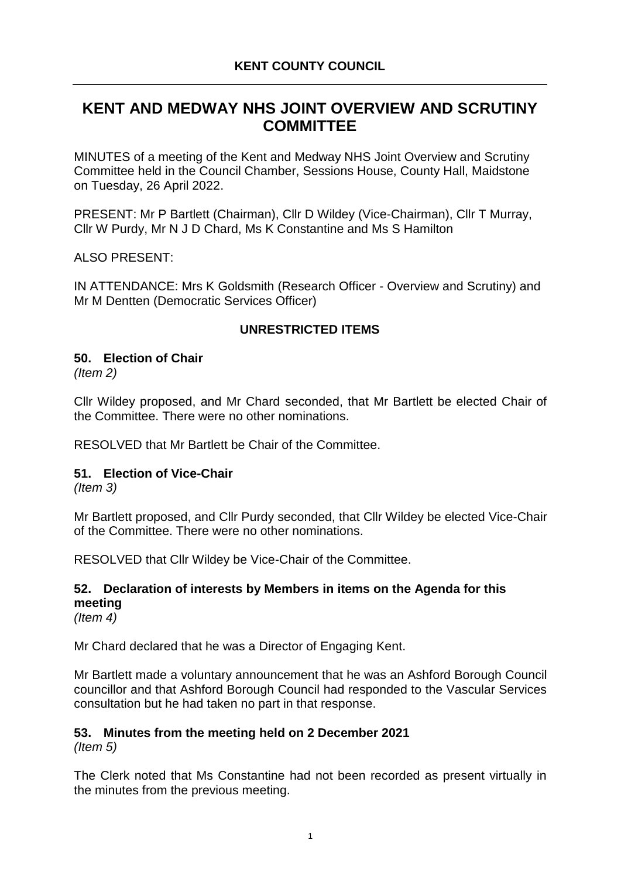# **KENT AND MEDWAY NHS JOINT OVERVIEW AND SCRUTINY COMMITTEE**

MINUTES of a meeting of the Kent and Medway NHS Joint Overview and Scrutiny Committee held in the Council Chamber, Sessions House, County Hall, Maidstone on Tuesday, 26 April 2022.

PRESENT: Mr P Bartlett (Chairman), Cllr D Wildey (Vice-Chairman), Cllr T Murray, Cllr W Purdy, Mr N J D Chard, Ms K Constantine and Ms S Hamilton

ALSO PRESENT:

IN ATTENDANCE: Mrs K Goldsmith (Research Officer - Overview and Scrutiny) and Mr M Dentten (Democratic Services Officer)

#### **UNRESTRICTED ITEMS**

## **50. Election of Chair**

*(Item 2)*

Cllr Wildey proposed, and Mr Chard seconded, that Mr Bartlett be elected Chair of the Committee. There were no other nominations.

RESOLVED that Mr Bartlett be Chair of the Committee.

#### **51. Election of Vice-Chair**

*(Item 3)*

Mr Bartlett proposed, and Cllr Purdy seconded, that Cllr Wildey be elected Vice-Chair of the Committee. There were no other nominations.

RESOLVED that Cllr Wildey be Vice-Chair of the Committee.

## **52. Declaration of interests by Members in items on the Agenda for this meeting**

*(Item 4)*

Mr Chard declared that he was a Director of Engaging Kent.

Mr Bartlett made a voluntary announcement that he was an Ashford Borough Council councillor and that Ashford Borough Council had responded to the Vascular Services consultation but he had taken no part in that response.

## **53. Minutes from the meeting held on 2 December 2021**

*(Item 5)*

The Clerk noted that Ms Constantine had not been recorded as present virtually in the minutes from the previous meeting.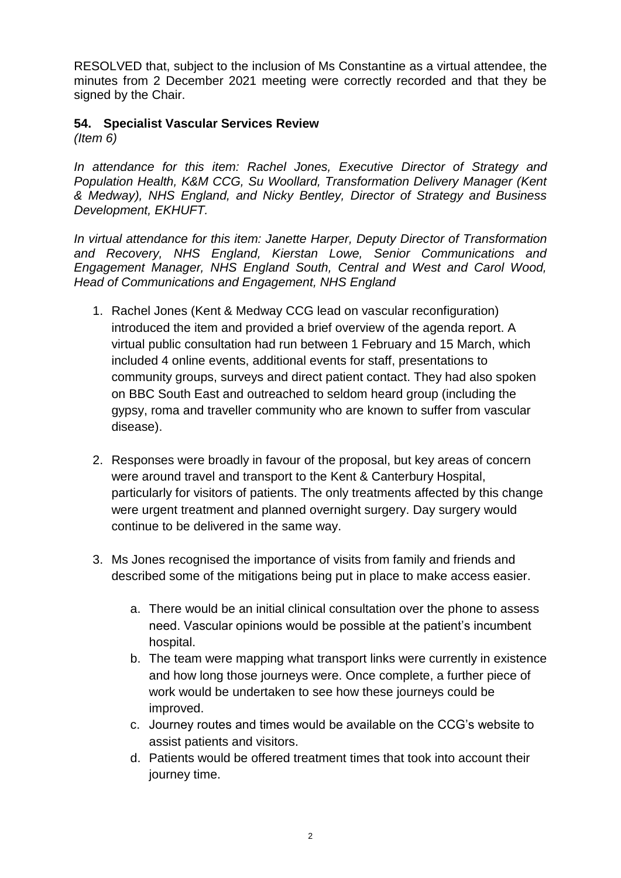RESOLVED that, subject to the inclusion of Ms Constantine as a virtual attendee, the minutes from 2 December 2021 meeting were correctly recorded and that they be signed by the Chair.

# **54. Specialist Vascular Services Review**

*(Item 6)*

*In attendance for this item: Rachel Jones, Executive Director of Strategy and Population Health, K&M CCG, Su Woollard, Transformation Delivery Manager (Kent & Medway), NHS England, and Nicky Bentley, Director of Strategy and Business Development, EKHUFT.*

*In virtual attendance for this item: Janette Harper, Deputy Director of Transformation and Recovery, NHS England, Kierstan Lowe, Senior Communications and Engagement Manager, NHS England South, Central and West and Carol Wood, Head of Communications and Engagement, NHS England*

- 1. Rachel Jones (Kent & Medway CCG lead on vascular reconfiguration) introduced the item and provided a brief overview of the agenda report. A virtual public consultation had run between 1 February and 15 March, which included 4 online events, additional events for staff, presentations to community groups, surveys and direct patient contact. They had also spoken on BBC South East and outreached to seldom heard group (including the gypsy, roma and traveller community who are known to suffer from vascular disease).
- 2. Responses were broadly in favour of the proposal, but key areas of concern were around travel and transport to the Kent & Canterbury Hospital, particularly for visitors of patients. The only treatments affected by this change were urgent treatment and planned overnight surgery. Day surgery would continue to be delivered in the same way.
- 3. Ms Jones recognised the importance of visits from family and friends and described some of the mitigations being put in place to make access easier.
	- a. There would be an initial clinical consultation over the phone to assess need. Vascular opinions would be possible at the patient's incumbent hospital.
	- b. The team were mapping what transport links were currently in existence and how long those journeys were. Once complete, a further piece of work would be undertaken to see how these journeys could be improved.
	- c. Journey routes and times would be available on the CCG's website to assist patients and visitors.
	- d. Patients would be offered treatment times that took into account their journey time.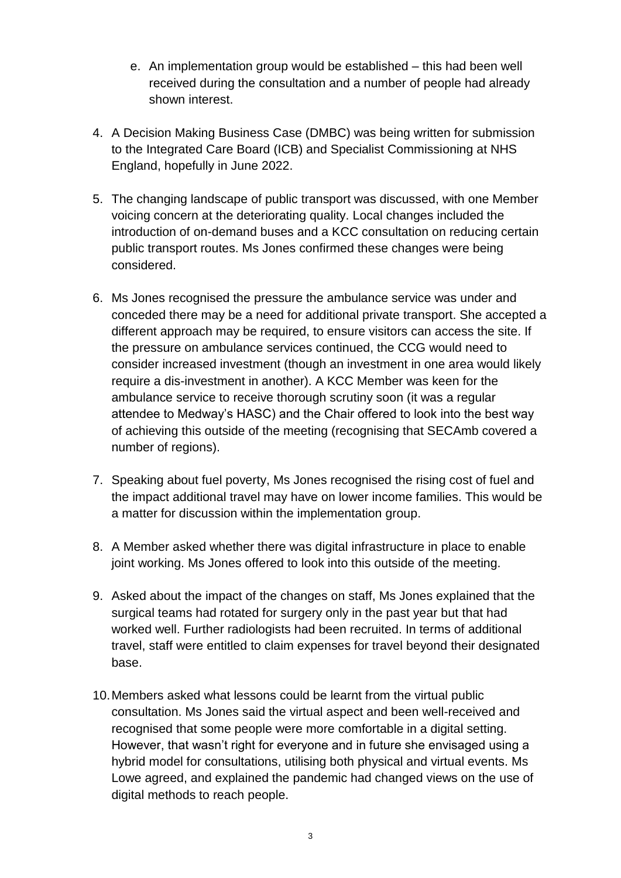- e. An implementation group would be established this had been well received during the consultation and a number of people had already shown interest.
- 4. A Decision Making Business Case (DMBC) was being written for submission to the Integrated Care Board (ICB) and Specialist Commissioning at NHS England, hopefully in June 2022.
- 5. The changing landscape of public transport was discussed, with one Member voicing concern at the deteriorating quality. Local changes included the introduction of on-demand buses and a KCC consultation on reducing certain public transport routes. Ms Jones confirmed these changes were being considered.
- 6. Ms Jones recognised the pressure the ambulance service was under and conceded there may be a need for additional private transport. She accepted a different approach may be required, to ensure visitors can access the site. If the pressure on ambulance services continued, the CCG would need to consider increased investment (though an investment in one area would likely require a dis-investment in another). A KCC Member was keen for the ambulance service to receive thorough scrutiny soon (it was a regular attendee to Medway's HASC) and the Chair offered to look into the best way of achieving this outside of the meeting (recognising that SECAmb covered a number of regions).
- 7. Speaking about fuel poverty, Ms Jones recognised the rising cost of fuel and the impact additional travel may have on lower income families. This would be a matter for discussion within the implementation group.
- 8. A Member asked whether there was digital infrastructure in place to enable joint working. Ms Jones offered to look into this outside of the meeting.
- 9. Asked about the impact of the changes on staff, Ms Jones explained that the surgical teams had rotated for surgery only in the past year but that had worked well. Further radiologists had been recruited. In terms of additional travel, staff were entitled to claim expenses for travel beyond their designated base.
- 10.Members asked what lessons could be learnt from the virtual public consultation. Ms Jones said the virtual aspect and been well-received and recognised that some people were more comfortable in a digital setting. However, that wasn't right for everyone and in future she envisaged using a hybrid model for consultations, utilising both physical and virtual events. Ms Lowe agreed, and explained the pandemic had changed views on the use of digital methods to reach people.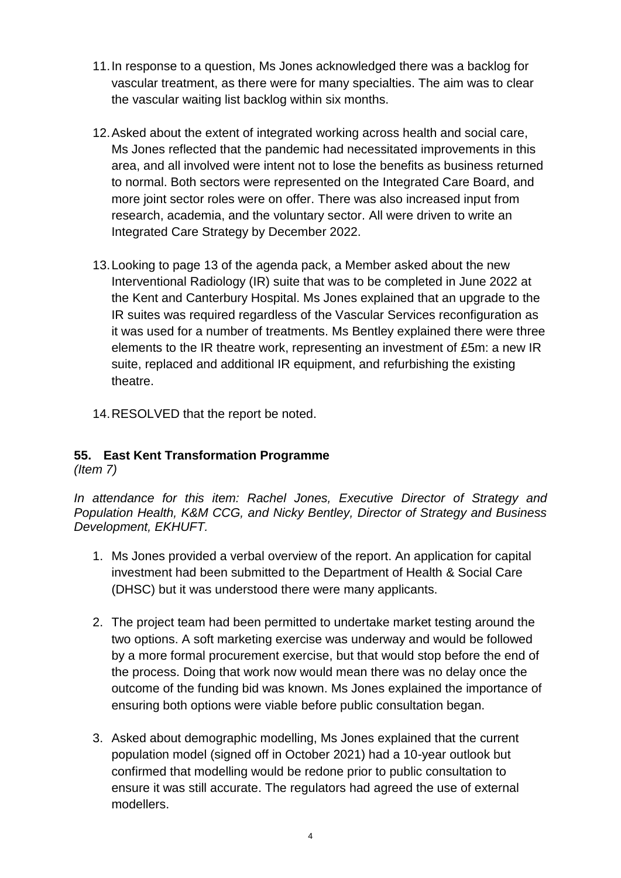- 11.In response to a question, Ms Jones acknowledged there was a backlog for vascular treatment, as there were for many specialties. The aim was to clear the vascular waiting list backlog within six months.
- 12.Asked about the extent of integrated working across health and social care, Ms Jones reflected that the pandemic had necessitated improvements in this area, and all involved were intent not to lose the benefits as business returned to normal. Both sectors were represented on the Integrated Care Board, and more joint sector roles were on offer. There was also increased input from research, academia, and the voluntary sector. All were driven to write an Integrated Care Strategy by December 2022.
- 13.Looking to page 13 of the agenda pack, a Member asked about the new Interventional Radiology (IR) suite that was to be completed in June 2022 at the Kent and Canterbury Hospital. Ms Jones explained that an upgrade to the IR suites was required regardless of the Vascular Services reconfiguration as it was used for a number of treatments. Ms Bentley explained there were three elements to the IR theatre work, representing an investment of £5m: a new IR suite, replaced and additional IR equipment, and refurbishing the existing theatre.
- 14.RESOLVED that the report be noted.

# **55. East Kent Transformation Programme**

*(Item 7)*

*In attendance for this item: Rachel Jones, Executive Director of Strategy and Population Health, K&M CCG, and Nicky Bentley, Director of Strategy and Business Development, EKHUFT.*

- 1. Ms Jones provided a verbal overview of the report. An application for capital investment had been submitted to the Department of Health & Social Care (DHSC) but it was understood there were many applicants.
- 2. The project team had been permitted to undertake market testing around the two options. A soft marketing exercise was underway and would be followed by a more formal procurement exercise, but that would stop before the end of the process. Doing that work now would mean there was no delay once the outcome of the funding bid was known. Ms Jones explained the importance of ensuring both options were viable before public consultation began.
- 3. Asked about demographic modelling, Ms Jones explained that the current population model (signed off in October 2021) had a 10-year outlook but confirmed that modelling would be redone prior to public consultation to ensure it was still accurate. The regulators had agreed the use of external modellers.